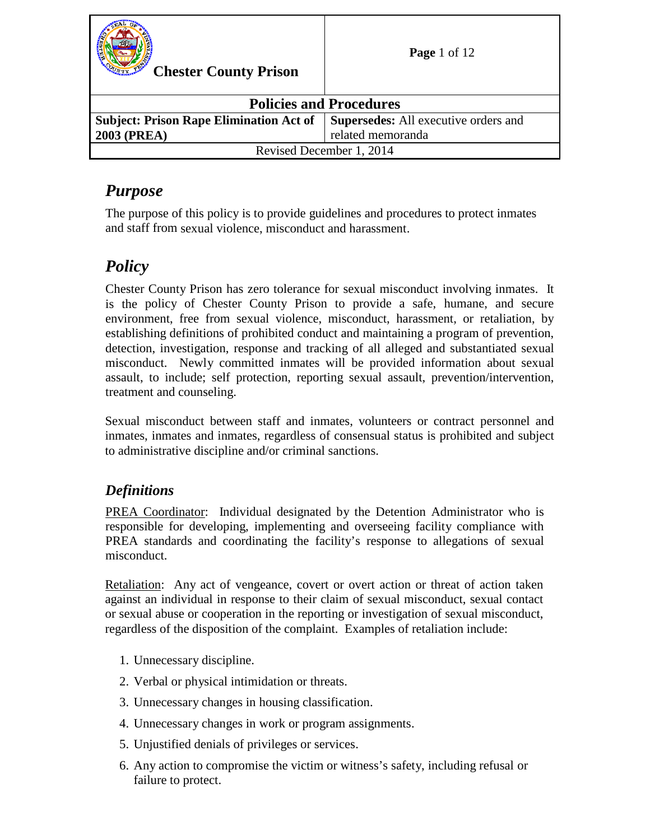| <b>Chester County Prison</b>                   | <b>Page</b> 1 of 12                         |
|------------------------------------------------|---------------------------------------------|
| <b>Policies and Procedures</b>                 |                                             |
| <b>Subject: Prison Rape Elimination Act of</b> | <b>Supersedes:</b> All executive orders and |
| <b>2003 (PREA)</b>                             | related memoranda                           |
| Revised December 1, 2014                       |                                             |

## *Purpose*

The purpose of this policy is to provide guidelines and procedures to protect inmates and staff from sexual violence, misconduct and harassment.

# *Policy*

Chester County Prison has zero tolerance for sexual misconduct involving inmates. It is the policy of Chester County Prison to provide a safe, humane, and secure environment, free from sexual violence, misconduct, harassment, or retaliation, by establishing definitions of prohibited conduct and maintaining a program of prevention, detection, investigation, response and tracking of all alleged and substantiated sexual misconduct. Newly committed inmates will be provided information about sexual assault, to include; self protection, reporting sexual assault, prevention/intervention, treatment and counseling.

Sexual misconduct between staff and inmates, volunteers or contract personnel and inmates, inmates and inmates, regardless of consensual status is prohibited and subject to administrative discipline and/or criminal sanctions.

## *Definitions*

PREA Coordinator: Individual designated by the Detention Administrator who is responsible for developing, implementing and overseeing facility compliance with PREA standards and coordinating the facility's response to allegations of sexual misconduct.

Retaliation: Any act of vengeance, covert or overt action or threat of action taken against an individual in response to their claim of sexual misconduct, sexual contact or sexual abuse or cooperation in the reporting or investigation of sexual misconduct, regardless of the disposition of the complaint. Examples of retaliation include:

- 1. Unnecessary discipline.
- 2. Verbal or physical intimidation or threats.
- 3. Unnecessary changes in housing classification.
- 4. Unnecessary changes in work or program assignments.
- 5. Unjustified denials of privileges or services.
- 6. Any action to compromise the victim or witness's safety, including refusal or failure to protect.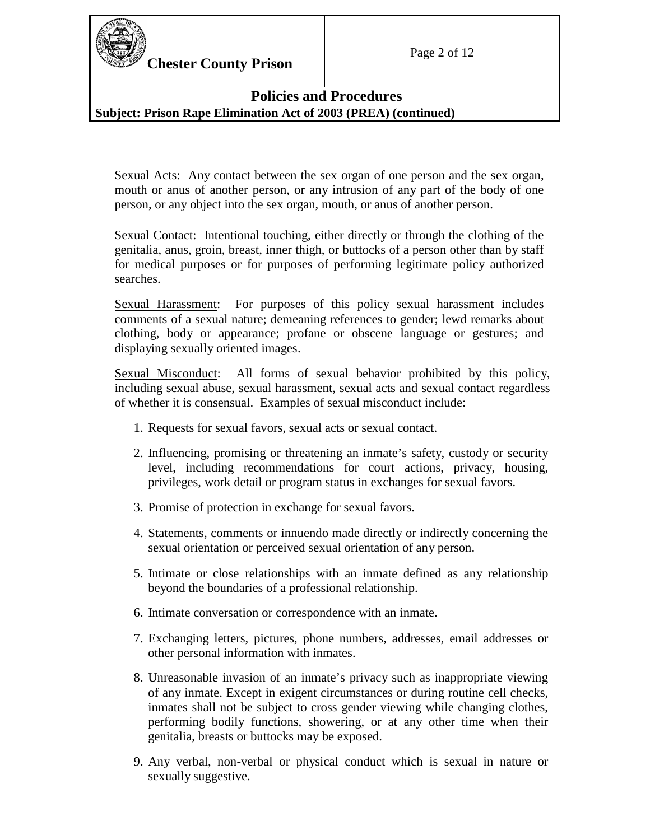

**Chester County Prison** Page 2 of 12

## **Policies and Procedures**

**Subject: Prison Rape Elimination Act of 2003 (PREA) (continued)**

Sexual Acts: Any contact between the sex organ of one person and the sex organ, mouth or anus of another person, or any intrusion of any part of the body of one person, or any object into the sex organ, mouth, or anus of another person.

Sexual Contact: Intentional touching, either directly or through the clothing of the genitalia, anus, groin, breast, inner thigh, or buttocks of a person other than by staff for medical purposes or for purposes of performing legitimate policy authorized searches.

Sexual Harassment: For purposes of this policy sexual harassment includes comments of a sexual nature; demeaning references to gender; lewd remarks about clothing, body or appearance; profane or obscene language or gestures; and displaying sexually oriented images.

Sexual Misconduct: All forms of sexual behavior prohibited by this policy, including sexual abuse, sexual harassment, sexual acts and sexual contact regardless of whether it is consensual. Examples of sexual misconduct include:

- 1. Requests for sexual favors, sexual acts or sexual contact.
- 2. Influencing, promising or threatening an inmate's safety, custody or security level, including recommendations for court actions, privacy, housing, privileges, work detail or program status in exchanges for sexual favors.
- 3. Promise of protection in exchange for sexual favors.
- 4. Statements, comments or innuendo made directly or indirectly concerning the sexual orientation or perceived sexual orientation of any person.
- 5. Intimate or close relationships with an inmate defined as any relationship beyond the boundaries of a professional relationship.
- 6. Intimate conversation or correspondence with an inmate.
- 7. Exchanging letters, pictures, phone numbers, addresses, email addresses or other personal information with inmates.
- 8. Unreasonable invasion of an inmate's privacy such as inappropriate viewing of any inmate. Except in exigent circumstances or during routine cell checks, inmates shall not be subject to cross gender viewing while changing clothes, performing bodily functions, showering, or at any other time when their genitalia, breasts or buttocks may be exposed.
- 9. Any verbal, non-verbal or physical conduct which is sexual in nature or sexually suggestive.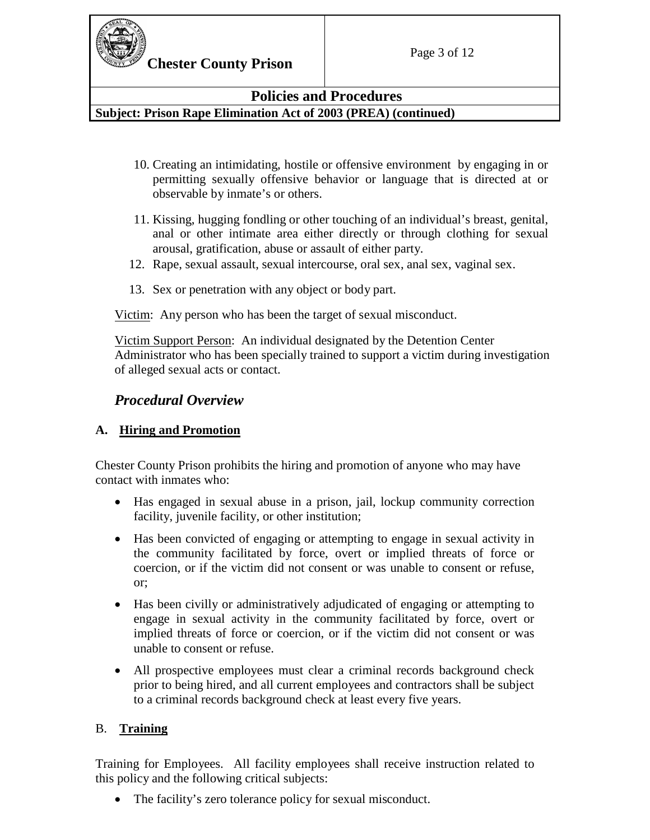

## **Policies and Procedures**

**Subject: Prison Rape Elimination Act of 2003 (PREA) (continued)**

- 10. Creating an intimidating, hostile or offensive environment by engaging in or permitting sexually offensive behavior or language that is directed at or observable by inmate's or others.
- 11. Kissing, hugging fondling or other touching of an individual's breast, genital, anal or other intimate area either directly or through clothing for sexual arousal, gratification, abuse or assault of either party.
- 12. Rape, sexual assault, sexual intercourse, oral sex, anal sex, vaginal sex.
- 13. Sex or penetration with any object or body part.

Victim: Any person who has been the target of sexual misconduct.

Victim Support Person: An individual designated by the Detention Center Administrator who has been specially trained to support a victim during investigation of alleged sexual acts or contact.

## *Procedural Overview*

## **A. Hiring and Promotion**

Chester County Prison prohibits the hiring and promotion of anyone who may have contact with inmates who:

- Has engaged in sexual abuse in a prison, jail, lockup community correction facility, juvenile facility, or other institution;
- Has been convicted of engaging or attempting to engage in sexual activity in the community facilitated by force, overt or implied threats of force or coercion, or if the victim did not consent or was unable to consent or refuse, or;
- Has been civilly or administratively adjudicated of engaging or attempting to engage in sexual activity in the community facilitated by force, overt or implied threats of force or coercion, or if the victim did not consent or was unable to consent or refuse.
- All prospective employees must clear a criminal records background check prior to being hired, and all current employees and contractors shall be subject to a criminal records background check at least every five years.

## B. **Training**

Training for Employees. All facility employees shall receive instruction related to this policy and the following critical subjects:

• The facility's zero tolerance policy for sexual misconduct.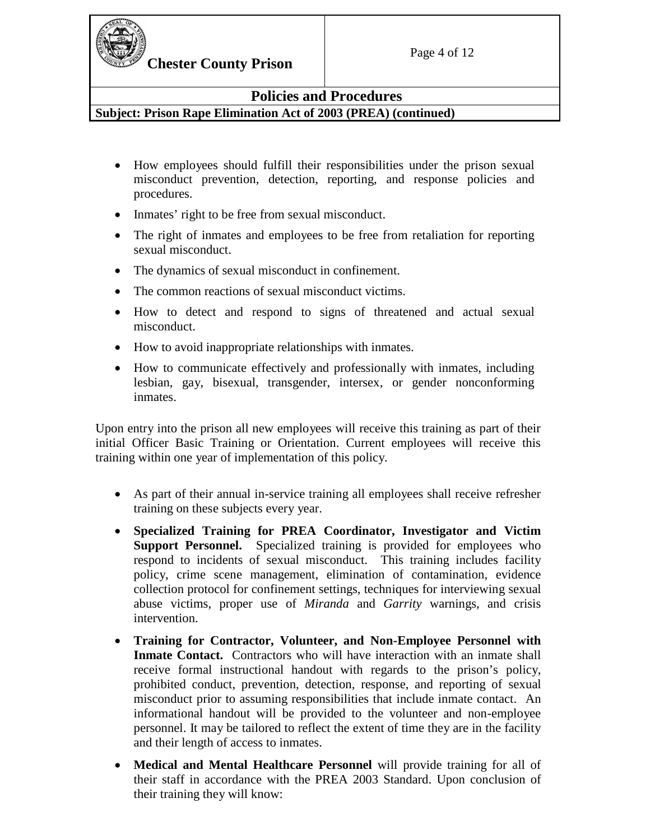

### **Policies and Procedures**

**Subject: Prison Rape Elimination Act of 2003 (PREA) (continued)**

- How employees should fulfill their responsibilities under the prison sexual misconduct prevention, detection, reporting, and response policies and procedures.
- Inmates' right to be free from sexual misconduct.
- The right of inmates and employees to be free from retaliation for reporting sexual misconduct.
- The dynamics of sexual misconduct in confinement.
- The common reactions of sexual misconduct victims.
- How to detect and respond to signs of threatened and actual sexual misconduct.
- How to avoid inappropriate relationships with inmates.
- How to communicate effectively and professionally with inmates, including lesbian, gay, bisexual, transgender, intersex, or gender nonconforming inmates.

Upon entry into the prison all new employees will receive this training as part of their initial Officer Basic Training or Orientation. Current employees will receive this training within one year of implementation of this policy.

- As part of their annual in-service training all employees shall receive refresher training on these subjects every year.
- **Specialized Training for PREA Coordinator, Investigator and Victim Support Personnel.** Specialized training is provided for employees who respond to incidents of sexual misconduct. This training includes facility policy, crime scene management, elimination of contamination, evidence collection protocol for confinement settings, techniques for interviewing sexual abuse victims, proper use of *Miranda* and *Garrity* warnings, and crisis intervention.
- **Training for Contractor, Volunteer, and Non-Employee Personnel with Inmate Contact.** Contractors who will have interaction with an inmate shall receive formal instructional handout with regards to the prison's policy, prohibited conduct, prevention, detection*,* response, and reporting of sexual misconduct prior to assuming responsibilities that include inmate contact. An informational handout will be provided to the volunteer and non-employee personnel. It may be tailored to reflect the extent of time they are in the facility and their length of access to inmates.
- **Medical and Mental Healthcare Personnel** will provide training for all of their staff in accordance with the PREA 2003 Standard. Upon conclusion of their training they will know: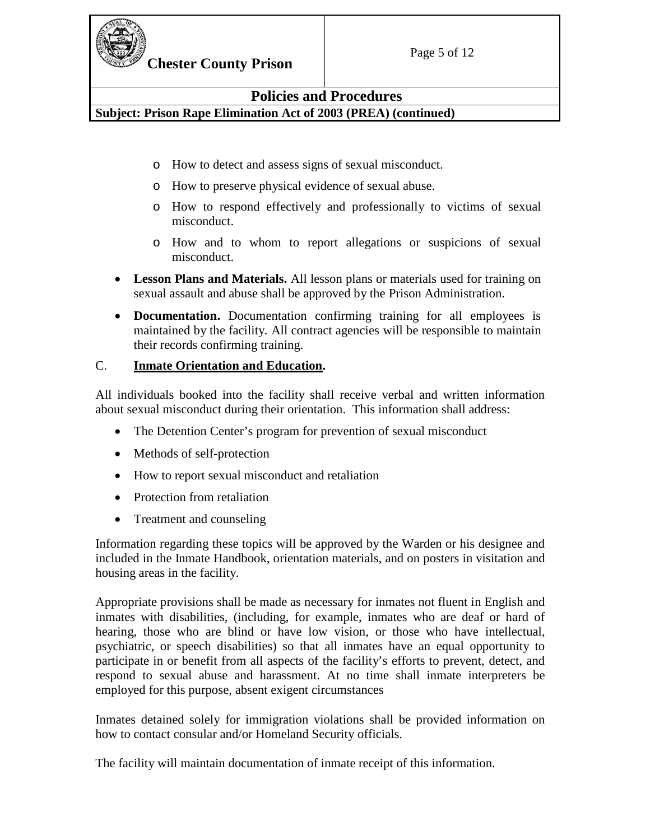

**Chester County Prison** Page 5 of 12

## **Policies and Procedures**

**Subject: Prison Rape Elimination Act of 2003 (PREA) (continued)**

- o How to detect and assess signs of sexual misconduct.
- o How to preserve physical evidence of sexual abuse.
- o How to respond effectively and professionally to victims of sexual misconduct.
- o How and to whom to report allegations or suspicions of sexual misconduct.
- **Lesson Plans and Materials.** All lesson plans or materials used for training on sexual assault and abuse shall be approved by the Prison Administration.
- **Documentation.** Documentation confirming training for all employees is maintained by the facility. All contract agencies will be responsible to maintain their records confirming training.

#### C. **Inmate Orientation and Education.**

All individuals booked into the facility shall receive verbal and written information about sexual misconduct during their orientation. This information shall address:

- The Detention Center's program for prevention of sexual misconduct
- Methods of self-protection
- How to report sexual misconduct and retaliation
- Protection from retaliation
- Treatment and counseling

Information regarding these topics will be approved by the Warden or his designee and included in the Inmate Handbook, orientation materials, and on posters in visitation and housing areas in the facility.

Appropriate provisions shall be made as necessary for inmates not fluent in English and inmates with disabilities, (including, for example, inmates who are deaf or hard of hearing, those who are blind or have low vision, or those who have intellectual, psychiatric, or speech disabilities) so that all inmates have an equal opportunity to participate in or benefit from all aspects of the facility's efforts to prevent, detect, and respond to sexual abuse and harassment. At no time shall inmate interpreters be employed for this purpose, absent exigent circumstances

Inmates detained solely for immigration violations shall be provided information on how to contact consular and/or Homeland Security officials.

The facility will maintain documentation of inmate receipt of this information.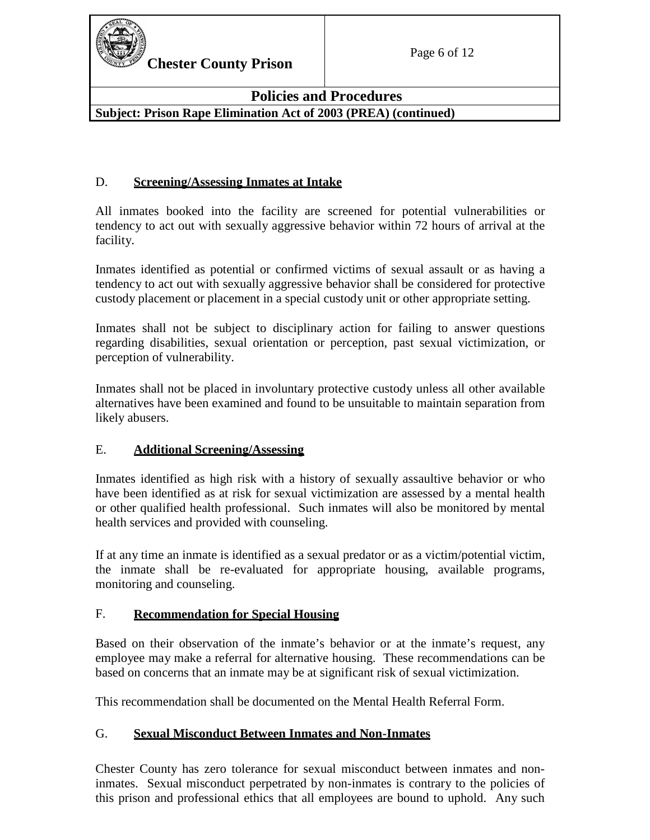

### **Policies and Procedures Subject: Prison Rape Elimination Act of 2003 (PREA) (continued)**

### D. **Screening/Assessing Inmates at Intake**

All inmates booked into the facility are screened for potential vulnerabilities or tendency to act out with sexually aggressive behavior within 72 hours of arrival at the facility.

Inmates identified as potential or confirmed victims of sexual assault or as having a tendency to act out with sexually aggressive behavior shall be considered for protective custody placement or placement in a special custody unit or other appropriate setting.

Inmates shall not be subject to disciplinary action for failing to answer questions regarding disabilities, sexual orientation or perception, past sexual victimization, or perception of vulnerability.

Inmates shall not be placed in involuntary protective custody unless all other available alternatives have been examined and found to be unsuitable to maintain separation from likely abusers.

#### E. **Additional Screening/Assessing**

Inmates identified as high risk with a history of sexually assaultive behavior or who have been identified as at risk for sexual victimization are assessed by a mental health or other qualified health professional. Such inmates will also be monitored by mental health services and provided with counseling.

If at any time an inmate is identified as a sexual predator or as a victim/potential victim, the inmate shall be re-evaluated for appropriate housing, available programs, monitoring and counseling.

#### F. **Recommendation for Special Housing**

Based on their observation of the inmate's behavior or at the inmate's request, any employee may make a referral for alternative housing. These recommendations can be based on concerns that an inmate may be at significant risk of sexual victimization.

This recommendation shall be documented on the Mental Health Referral Form.

#### G. **Sexual Misconduct Between Inmates and Non-Inmates**

Chester County has zero tolerance for sexual misconduct between inmates and noninmates. Sexual misconduct perpetrated by non-inmates is contrary to the policies of this prison and professional ethics that all employees are bound to uphold. Any such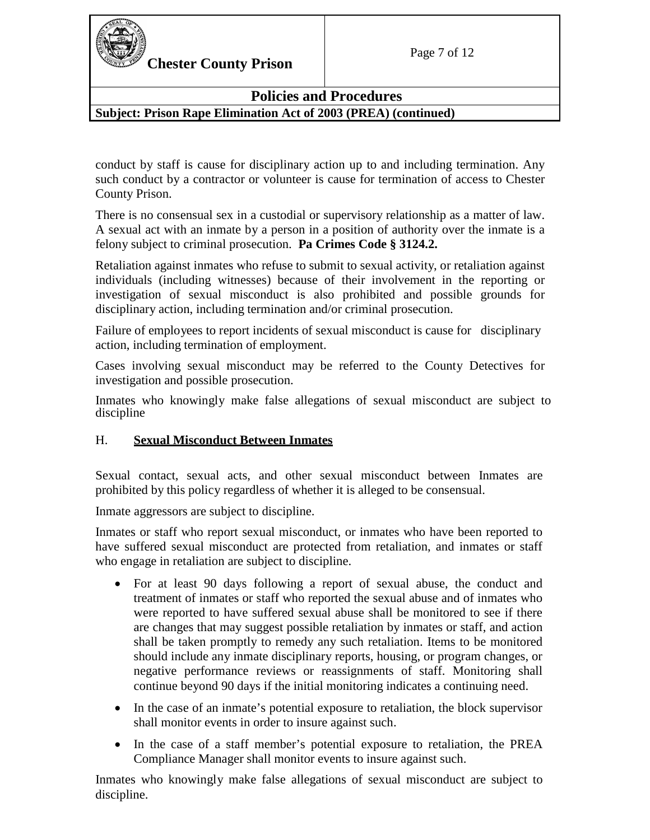

## **Policies and Procedures**

**Subject: Prison Rape Elimination Act of 2003 (PREA) (continued)**

conduct by staff is cause for disciplinary action up to and including termination. Any such conduct by a contractor or volunteer is cause for termination of access to Chester County Prison.

There is no consensual sex in a custodial or supervisory relationship as a matter of law. A sexual act with an inmate by a person in a position of authority over the inmate is a felony subject to criminal prosecution. **Pa Crimes Code § 3124.2.**

Retaliation against inmates who refuse to submit to sexual activity, or retaliation against individuals (including witnesses) because of their involvement in the reporting or investigation of sexual misconduct is also prohibited and possible grounds for disciplinary action, including termination and/or criminal prosecution.

Failure of employees to report incidents of sexual misconduct is cause for disciplinary action, including termination of employment.

Cases involving sexual misconduct may be referred to the County Detectives for investigation and possible prosecution.

Inmates who knowingly make false allegations of sexual misconduct are subject to discipline

#### H. **Sexual Misconduct Between Inmates**

Sexual contact, sexual acts, and other sexual misconduct between Inmates are prohibited by this policy regardless of whether it is alleged to be consensual.

Inmate aggressors are subject to discipline.

Inmates or staff who report sexual misconduct, or inmates who have been reported to have suffered sexual misconduct are protected from retaliation, and inmates or staff who engage in retaliation are subject to discipline.

- For at least 90 days following a report of sexual abuse, the conduct and treatment of inmates or staff who reported the sexual abuse and of inmates who were reported to have suffered sexual abuse shall be monitored to see if there are changes that may suggest possible retaliation by inmates or staff, and action shall be taken promptly to remedy any such retaliation. Items to be monitored should include any inmate disciplinary reports, housing, or program changes, or negative performance reviews or reassignments of staff. Monitoring shall continue beyond 90 days if the initial monitoring indicates a continuing need.
- In the case of an inmate's potential exposure to retaliation, the block supervisor shall monitor events in order to insure against such.
- In the case of a staff member's potential exposure to retaliation, the PREA Compliance Manager shall monitor events to insure against such.

Inmates who knowingly make false allegations of sexual misconduct are subject to discipline.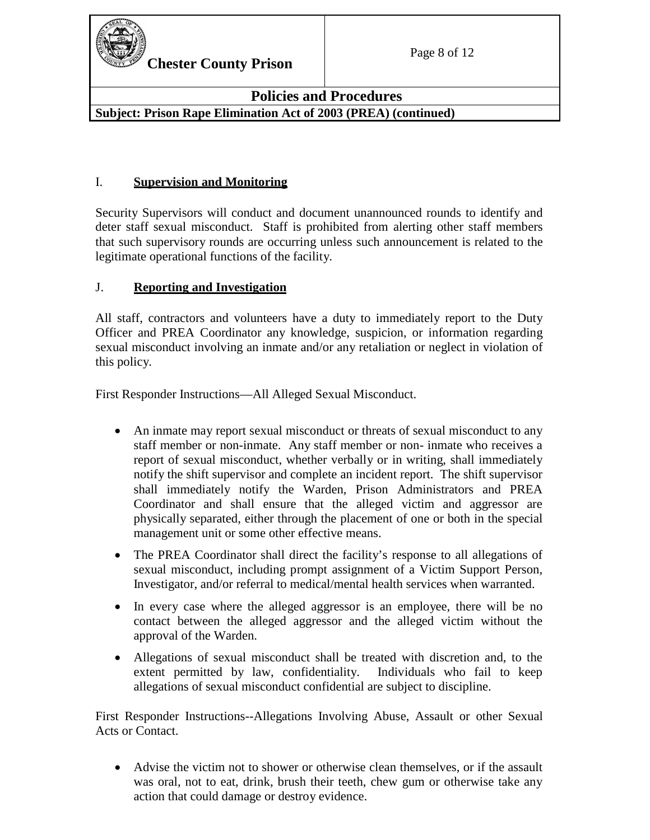

## **Policies and Procedures Subject: Prison Rape Elimination Act of 2003 (PREA) (continued)**

## I. **Supervision and Monitoring**

Security Supervisors will conduct and document unannounced rounds to identify and deter staff sexual misconduct. Staff is prohibited from alerting other staff members that such supervisory rounds are occurring unless such announcement is related to the legitimate operational functions of the facility.

## J. **Reporting and Investigation**

All staff, contractors and volunteers have a duty to immediately report to the Duty Officer and PREA Coordinator any knowledge, suspicion, or information regarding sexual misconduct involving an inmate and/or any retaliation or neglect in violation of this policy.

First Responder Instructions—All Alleged Sexual Misconduct.

- An inmate may report sexual misconduct or threats of sexual misconduct to any staff member or non-inmate. Any staff member or non- inmate who receives a report of sexual misconduct, whether verbally or in writing, shall immediately notify the shift supervisor and complete an incident report. The shift supervisor shall immediately notify the Warden, Prison Administrators and PREA Coordinator and shall ensure that the alleged victim and aggressor are physically separated, either through the placement of one or both in the special management unit or some other effective means.
- The PREA Coordinator shall direct the facility's response to all allegations of sexual misconduct, including prompt assignment of a Victim Support Person, Investigator, and/or referral to medical/mental health services when warranted.
- In every case where the alleged aggressor is an employee, there will be no contact between the alleged aggressor and the alleged victim without the approval of the Warden.
- Allegations of sexual misconduct shall be treated with discretion and, to the extent permitted by law, confidentiality. Individuals who fail to keep allegations of sexual misconduct confidential are subject to discipline.

First Responder Instructions--Allegations Involving Abuse, Assault or other Sexual Acts or Contact.

• Advise the victim not to shower or otherwise clean themselves, or if the assault was oral, not to eat, drink, brush their teeth, chew gum or otherwise take any action that could damage or destroy evidence.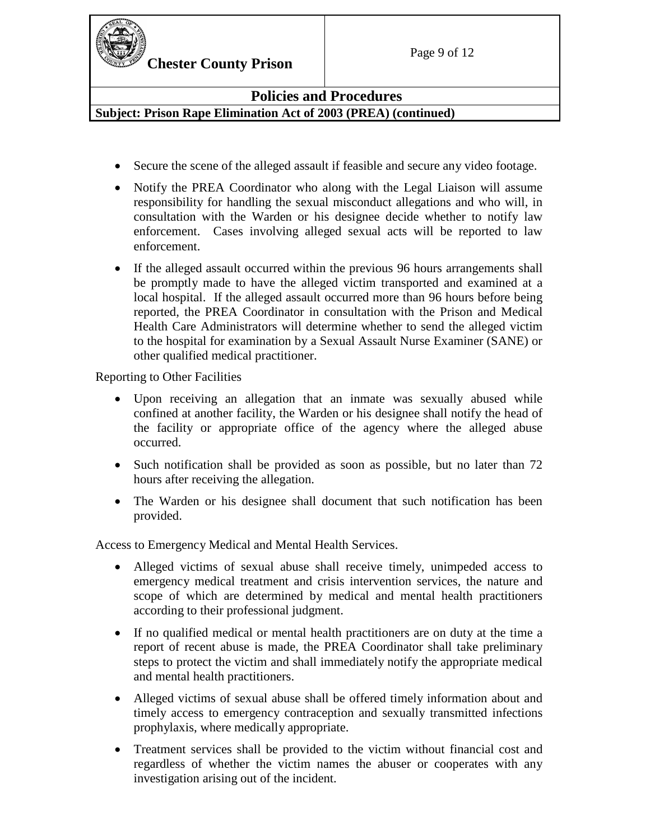

## **Policies and Procedures Subject: Prison Rape Elimination Act of 2003 (PREA) (continued)**

- Secure the scene of the alleged assault if feasible and secure any video footage.
- Notify the PREA Coordinator who along with the Legal Liaison will assume responsibility for handling the sexual misconduct allegations and who will, in consultation with the Warden or his designee decide whether to notify law enforcement. Cases involving alleged sexual acts will be reported to law enforcement.
- If the alleged assault occurred within the previous 96 hours arrangements shall be promptly made to have the alleged victim transported and examined at a local hospital. If the alleged assault occurred more than 96 hours before being reported, the PREA Coordinator in consultation with the Prison and Medical Health Care Administrators will determine whether to send the alleged victim to the hospital for examination by a Sexual Assault Nurse Examiner (SANE) or other qualified medical practitioner.

Reporting to Other Facilities

- Upon receiving an allegation that an inmate was sexually abused while confined at another facility, the Warden or his designee shall notify the head of the facility or appropriate office of the agency where the alleged abuse occurred.
- Such notification shall be provided as soon as possible, but no later than 72 hours after receiving the allegation.
- The Warden or his designee shall document that such notification has been provided.

Access to Emergency Medical and Mental Health Services.

- Alleged victims of sexual abuse shall receive timely, unimpeded access to emergency medical treatment and crisis intervention services, the nature and scope of which are determined by medical and mental health practitioners according to their professional judgment.
- If no qualified medical or mental health practitioners are on duty at the time a report of recent abuse is made, the PREA Coordinator shall take preliminary steps to protect the victim and shall immediately notify the appropriate medical and mental health practitioners.
- Alleged victims of sexual abuse shall be offered timely information about and timely access to emergency contraception and sexually transmitted infections prophylaxis, where medically appropriate.
- Treatment services shall be provided to the victim without financial cost and regardless of whether the victim names the abuser or cooperates with any investigation arising out of the incident.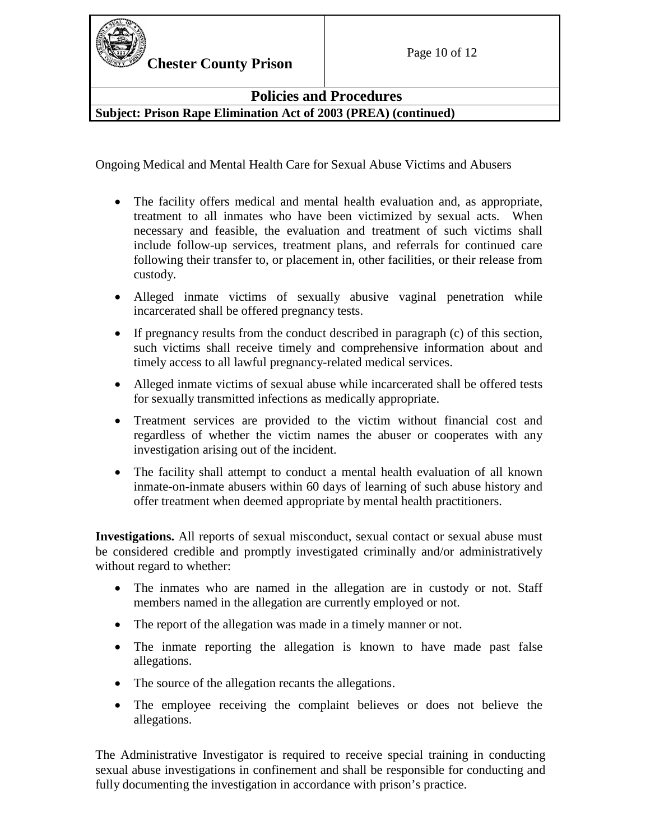

**Chester County Prison** Page 10 of 12

**Policies and Procedures**

**Subject: Prison Rape Elimination Act of 2003 (PREA) (continued)**

Ongoing Medical and Mental Health Care for Sexual Abuse Victims and Abusers

- The facility offers medical and mental health evaluation and, as appropriate, treatment to all inmates who have been victimized by sexual acts. When necessary and feasible, the evaluation and treatment of such victims shall include follow-up services, treatment plans, and referrals for continued care following their transfer to, or placement in, other facilities, or their release from custody.
- Alleged inmate victims of sexually abusive vaginal penetration while incarcerated shall be offered pregnancy tests.
- If pregnancy results from the conduct described in paragraph (c) of this section, such victims shall receive timely and comprehensive information about and timely access to all lawful pregnancy-related medical services.
- Alleged inmate victims of sexual abuse while incarcerated shall be offered tests for sexually transmitted infections as medically appropriate.
- Treatment services are provided to the victim without financial cost and regardless of whether the victim names the abuser or cooperates with any investigation arising out of the incident.
- The facility shall attempt to conduct a mental health evaluation of all known inmate-on-inmate abusers within 60 days of learning of such abuse history and offer treatment when deemed appropriate by mental health practitioners.

**Investigations.** All reports of sexual misconduct, sexual contact or sexual abuse must be considered credible and promptly investigated criminally and/or administratively without regard to whether:

- The inmates who are named in the allegation are in custody or not. Staff members named in the allegation are currently employed or not.
- The report of the allegation was made in a timely manner or not.
- The inmate reporting the allegation is known to have made past false allegations.
- The source of the allegation recants the allegations.
- The employee receiving the complaint believes or does not believe the allegations.

The Administrative Investigator is required to receive special training in conducting sexual abuse investigations in confinement and shall be responsible for conducting and fully documenting the investigation in accordance with prison's practice.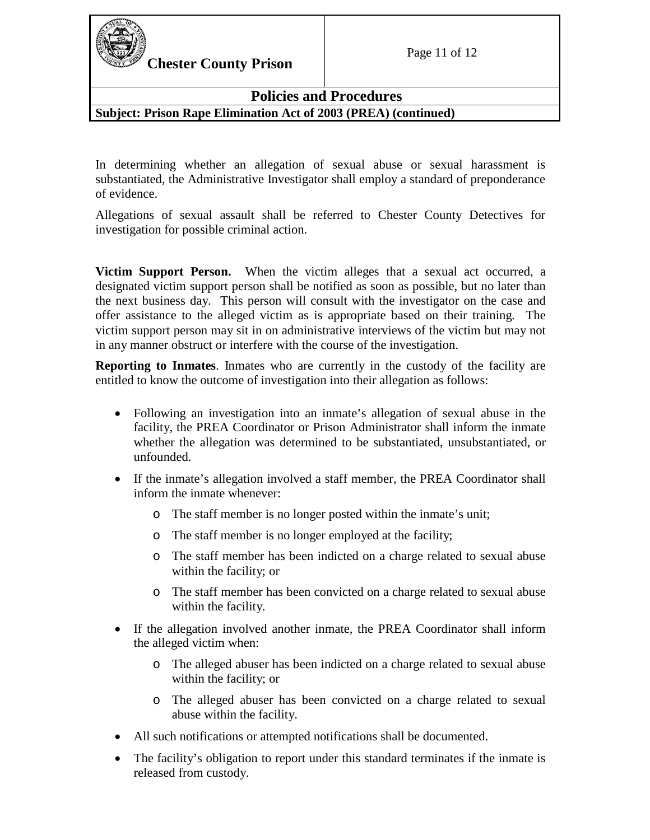

**Chester County Prison** Page 11 of 12

## **Policies and Procedures Subject: Prison Rape Elimination Act of 2003 (PREA) (continued)**

In determining whether an allegation of sexual abuse or sexual harassment is substantiated, the Administrative Investigator shall employ a standard of preponderance of evidence.

Allegations of sexual assault shall be referred to Chester County Detectives for investigation for possible criminal action.

**Victim Support Person.** When the victim alleges that a sexual act occurred, a designated victim support person shall be notified as soon as possible, but no later than the next business day. This person will consult with the investigator on the case and offer assistance to the alleged victim as is appropriate based on their training. The victim support person may sit in on administrative interviews of the victim but may not in any manner obstruct or interfere with the course of the investigation.

**Reporting to Inmates**. Inmates who are currently in the custody of the facility are entitled to know the outcome of investigation into their allegation as follows:

- Following an investigation into an inmate's allegation of sexual abuse in the facility, the PREA Coordinator or Prison Administrator shall inform the inmate whether the allegation was determined to be substantiated, unsubstantiated, or unfounded.
- If the inmate's allegation involved a staff member, the PREA Coordinator shall inform the inmate whenever:
	- o The staff member is no longer posted within the inmate's unit;
	- o The staff member is no longer employed at the facility;
	- o The staff member has been indicted on a charge related to sexual abuse within the facility; or
	- o The staff member has been convicted on a charge related to sexual abuse within the facility.
- If the allegation involved another inmate, the PREA Coordinator shall inform the alleged victim when:
	- o The alleged abuser has been indicted on a charge related to sexual abuse within the facility; or
	- o The alleged abuser has been convicted on a charge related to sexual abuse within the facility.
- All such notifications or attempted notifications shall be documented.
- The facility's obligation to report under this standard terminates if the inmate is released from custody.